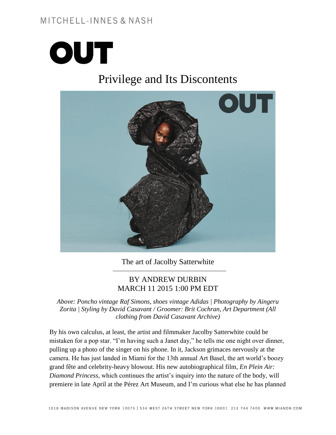## MITCHELL-INNES & NASH



# Privilege and Its Discontents



The art of Jacolby Satterwhite

#### BY ANDREW DURBIN MARCH 11 2015 1:00 PM EDT

*Above: Poncho vintage Raf Simons, shoes vintage Adidas | Photography by Aingeru Zorita | Styling by David Casavant / Groomer: Brit Cochran, Art Department (All clothing from David Casavant Archive)*

By his own calculus, at least, the artist and filmmaker Jacolby Satterwhite could be mistaken for a pop star. "I'm having such a Janet day," he tells me one night over dinner, pulling up a photo of the singer on his phone. In it, Jackson grimaces nervously at the camera. He has just landed in Miami for the 13th annual Art Basel, the art world's boozy grand fête and celebrity-heavy blowout. His new autobiographical film, *En Plein Air: Diamond Princess*, which continues the artist's inquiry into the nature of the body, will premiere in late April at the Pérez Art Museum, and I'm curious what else he has planned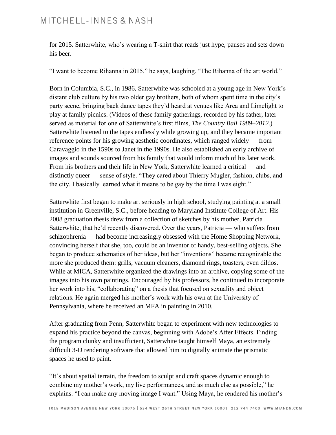for 2015. Satterwhite, who's wearing a T-shirt that reads just hype, pauses and sets down his beer.

"I want to become Rihanna in 2015," he says, laughing. "The Rihanna of the art world."

Born in Columbia, S.C., in 1986, Satterwhite was schooled at a young age in New York's distant club culture by his two older gay brothers, both of whom spent time in the city's party scene, bringing back dance tapes they'd heard at venues like Area and Limelight to play at family picnics. (Videos of these family gatherings, recorded by his father, later served as material for one of Satterwhite's first films, *The Country Ball 1989–2012.*) Satterwhite listened to the tapes endlessly while growing up, and they became important reference points for his growing aesthetic coordinates, which ranged widely — from Caravaggio in the 1590s to Janet in the 1990s. He also established an early archive of images and sounds sourced from his family that would inform much of his later work. From his brothers and their life in New York, Satterwhite learned a critical — and distinctly queer — sense of style. "They cared about Thierry Mugler, fashion, clubs, and the city. I basically learned what it means to be gay by the time I was eight."

Satterwhite first began to make art seriously in high school, studying painting at a small institution in Greenville, S.C., before heading to Maryland Institute College of Art. His 2008 graduation thesis drew from a collection of sketches by his mother, Patricia Satterwhite, that he'd recently discovered. Over the years, Patricia — who suffers from schizophrenia — had become increasingly obsessed with the Home Shopping Network, convincing herself that she, too, could be an inventor of handy, best-selling objects. She began to produce schematics of her ideas, but her "inventions" became recognizable the more she produced them: grills, vacuum cleaners, diamond rings, toasters, even dildos. While at MICA, Satterwhite organized the drawings into an archive, copying some of the images into his own paintings. Encouraged by his professors, he continued to incorporate her work into his, "collaborating" on a thesis that focused on sexuality and object relations. He again merged his mother's work with his own at the University of Pennsylvania, where he received an MFA in painting in 2010.

After graduating from Penn, Satterwhite began to experiment with new technologies to expand his practice beyond the canvas, beginning with Adobe's After Effects. Finding the program clunky and insufficient, Satterwhite taught himself Maya, an extremely difficult 3-D rendering software that allowed him to digitally animate the prismatic spaces he used to paint.

"It's about spatial terrain, the freedom to sculpt and craft spaces dynamic enough to combine my mother's work, my live performances, and as much else as possible," he explains. "I can make any moving image I want." Using Maya, he rendered his mother's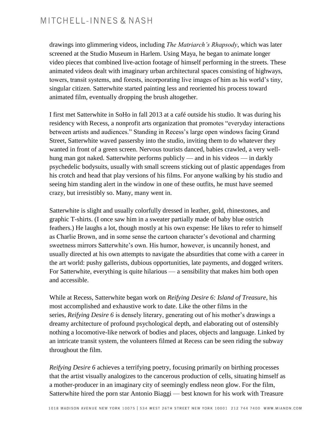drawings into glimmering videos, including *The Matriarch's Rhapsody*, which was later screened at the Studio Museum in Harlem. Using Maya, he began to animate longer video pieces that combined live-action footage of himself performing in the streets. These animated videos dealt with imaginary urban architectural spaces consisting of highways, towers, transit systems, and forests, incorporating live images of him as his world's tiny, singular citizen. Satterwhite started painting less and reoriented his process toward animated film, eventually dropping the brush altogether.

I first met Satterwhite in SoHo in fall 2013 at a café outside his studio. It was during his residency with Recess, a nonprofit arts organization that promotes "everyday interactions between artists and audiences." Standing in Recess's large open windows facing Grand Street, Satterwhite waved passersby into the studio, inviting them to do whatever they wanted in front of a green screen. Nervous tourists danced, babies crawled, a very wellhung man got naked. Satterwhite performs publicly — and in his videos — in darkly psychedelic bodysuits, usually with small screens sticking out of plastic appendages from his crotch and head that play versions of his films. For anyone walking by his studio and seeing him standing alert in the window in one of these outfits, he must have seemed crazy, but irresistibly so. Many, many went in.

Satterwhite is slight and usually colorfully dressed in leather, gold, rhinestones, and graphic T-shirts. (I once saw him in a sweater partially made of baby blue ostrich feathers.) He laughs a lot, though mostly at his own expense: He likes to refer to himself as Charlie Brown, and in some sense the cartoon character's devotional and charming sweetness mirrors Satterwhite's own. His humor, however, is uncannily honest, and usually directed at his own attempts to navigate the absurdities that come with a career in the art world: pushy gallerists, dubious opportunities, late payments, and dogged writers. For Satterwhite, everything is quite hilarious — a sensibility that makes him both open and accessible.

While at Recess, Satterwhite began work on *Reifying Desire 6: Island of Treasure*, his most accomplished and exhaustive work to date. Like the other films in the series, *Reifying Desire 6* is densely literary, generating out of his mother's drawings a dreamy architecture of profound psychological depth, and elaborating out of ostensibly nothing a locomotive-like network of bodies and places, objects and language. Linked by an intricate transit system, the volunteers filmed at Recess can be seen riding the subway throughout the film.

*Reifying Desire 6* achieves a terrifying poetry, focusing primarily on birthing processes that the artist visually analogizes to the cancerous production of cells, situating himself as a mother-producer in an imaginary city of seemingly endless neon glow. For the film, Satterwhite hired the porn star Antonio Biaggi — best known for his work with Treasure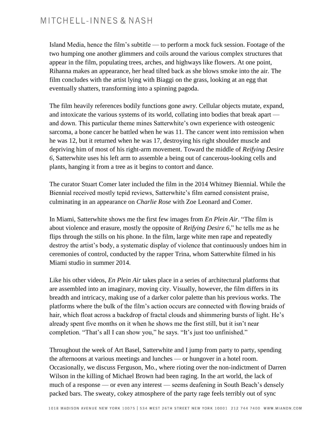Island Media, hence the film's subtitle — to perform a mock fuck session. Footage of the two humping one another glimmers and coils around the various complex structures that appear in the film, populating trees, arches, and highways like flowers. At one point, Rihanna makes an appearance, her head tilted back as she blows smoke into the air. The film concludes with the artist lying with Biaggi on the grass, looking at an egg that eventually shatters, transforming into a spinning pagoda.

The film heavily references bodily functions gone awry. Cellular objects mutate, expand, and intoxicate the various systems of its world, collating into bodies that break apart and down. This particular theme mines Satterwhite's own experience with osteogenic sarcoma, a bone cancer he battled when he was 11. The cancer went into remission when he was 12, but it returned when he was 17, destroying his right shoulder muscle and depriving him of most of his right-arm movement. Toward the middle of *Reifying Desire 6*, Satterwhite uses his left arm to assemble a being out of cancerous-looking cells and plants, hanging it from a tree as it begins to contort and dance.

The curator Stuart Comer later included the film in the 2014 Whitney Biennial. While the Biennial received mostly tepid reviews, Satterwhite's film earned consistent praise, culminating in an appearance on *Charlie Rose* with Zoe Leonard and Comer.

In Miami, Satterwhite shows me the first few images from *En Plein Air*. "The film is about violence and erasure, mostly the opposite of *Reifying Desire 6*," he tells me as he flips through the stills on his phone. In the film, large white men rape and repeatedly destroy the artist's body, a systematic display of violence that continuously undoes him in ceremonies of control, conducted by the rapper Trina, whom Satterwhite filmed in his Miami studio in summer 2014.

Like his other videos, *En Plein Air* takes place in a series of architectural platforms that are assembled into an imaginary, moving city. Visually, however, the film differs in its breadth and intricacy, making use of a darker color palette than his previous works. The platforms where the bulk of the film's action occurs are connected with flowing braids of hair, which float across a backdrop of fractal clouds and shimmering bursts of light. He's already spent five months on it when he shows me the first still, but it isn't near completion. "That's all I can show you," he says. "It's just too unfinished."

Throughout the week of Art Basel, Satterwhite and I jump from party to party, spending the afternoons at various meetings and lunches — or hungover in a hotel room. Occasionally, we discuss Ferguson, Mo., where rioting over the non-indictment of Darren Wilson in the killing of Michael Brown had been raging. In the art world, the lack of much of a response — or even any interest — seems deafening in South Beach's densely packed bars. The sweaty, cokey atmosphere of the party rage feels terribly out of sync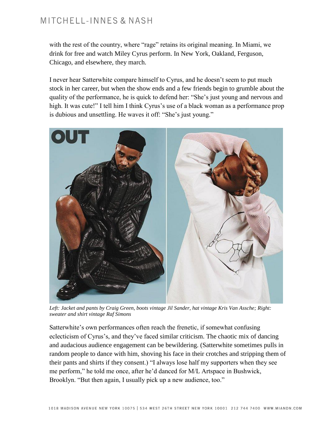## MITCHELL-INNES & NASH

with the rest of the country, where "rage" retains its original meaning. In Miami, we drink for free and watch Miley Cyrus perform. In New York, Oakland, Ferguson, Chicago, and elsewhere, they march.

I never hear Satterwhite compare himself to Cyrus, and he doesn't seem to put much stock in her career, but when the show ends and a few friends begin to grumble about the quality of the performance, he is quick to defend her: "She's just young and nervous and high. It was cute!" I tell him I think Cyrus's use of a black woman as a performance prop is dubious and unsettling. He waves it off: "She's just young."



*Left: Jacket and pants by Craig Green, boots vintage Jil Sander, hat vintage Kris Van Assche; Right: sweater and shirt vintage Raf Simons*

Satterwhite's own performances often reach the frenetic, if somewhat confusing eclecticism of Cyrus's, and they've faced similar criticism. The chaotic mix of dancing and audacious audience engagement can be bewildering. (Satterwhite sometimes pulls in random people to dance with him, shoving his face in their crotches and stripping them of their pants and shirts if they consent.) "I always lose half my supporters when they see me perform," he told me once, after he'd danced for M/L Artspace in Bushwick, Brooklyn. "But then again, I usually pick up a new audience, too."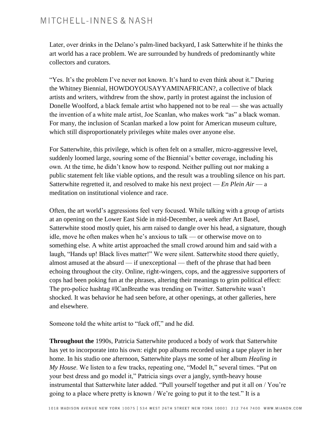### MITCHELL-INNES & NASH

Later, over drinks in the Delano's palm-lined backyard, I ask Satterwhite if he thinks the art world has a race problem. We are surrounded by hundreds of predominantly white collectors and curators.

"Yes. It's the problem I've never not known. It's hard to even think about it." During the Whitney Biennial, HOWDOYOUSAYYAMINAFRICAN?, a collective of black artists and writers, withdrew from the show, partly in protest against the inclusion of Donelle Woolford, a black female artist who happened not to be real — she was actually the invention of a white male artist, Joe Scanlan, who makes work "as" a black woman. For many, the inclusion of Scanlan marked a low point for American museum culture, which still disproportionately privileges white males over anyone else.

For Satterwhite, this privilege, which is often felt on a smaller, micro-aggressive level, suddenly loomed large, souring some of the Biennial's better coverage, including his own. At the time, he didn't know how to respond. Neither pulling out nor making a public statement felt like viable options, and the result was a troubling silence on his part. Satterwhite regretted it, and resolved to make his next project — *En Plein Air* — a meditation on institutional violence and race.

Often, the art world's aggressions feel very focused. While talking with a group of artists at an opening on the Lower East Side in mid-December, a week after Art Basel, Satterwhite stood mostly quiet, his arm raised to dangle over his head, a signature, though idle, move he often makes when he's anxious to talk — or otherwise move on to something else. A white artist approached the small crowd around him and said with a laugh, "Hands up! Black lives matter!" We were silent. Satterwhite stood there quietly, almost amused at the absurd — if unexceptional — theft of the phrase that had been echoing throughout the city. Online, right-wingers, cops, and the aggressive supporters of cops had been poking fun at the phrases, altering their meanings to grim political effect: The pro-police hashtag #ICanBreathe was trending on Twitter. Satterwhite wasn't shocked. It was behavior he had seen before, at other openings, at other galleries, here and elsewhere.

Someone told the white artist to "fuck off," and he did.

**Throughout the** 1990s, Patricia Satterwhite produced a body of work that Satterwhite has yet to incorporate into his own: eight pop albums recorded using a tape player in her home. In his studio one afternoon, Satterwhite plays me some of her album *Healing in My House*. We listen to a few tracks, repeating one, "Model It," several times. "Put on your best dress and go model it," Patricia sings over a jangly, synth-heavy house instrumental that Satterwhite later added. "Pull yourself together and put it all on / You're going to a place where pretty is known / We're going to put it to the test." It is a